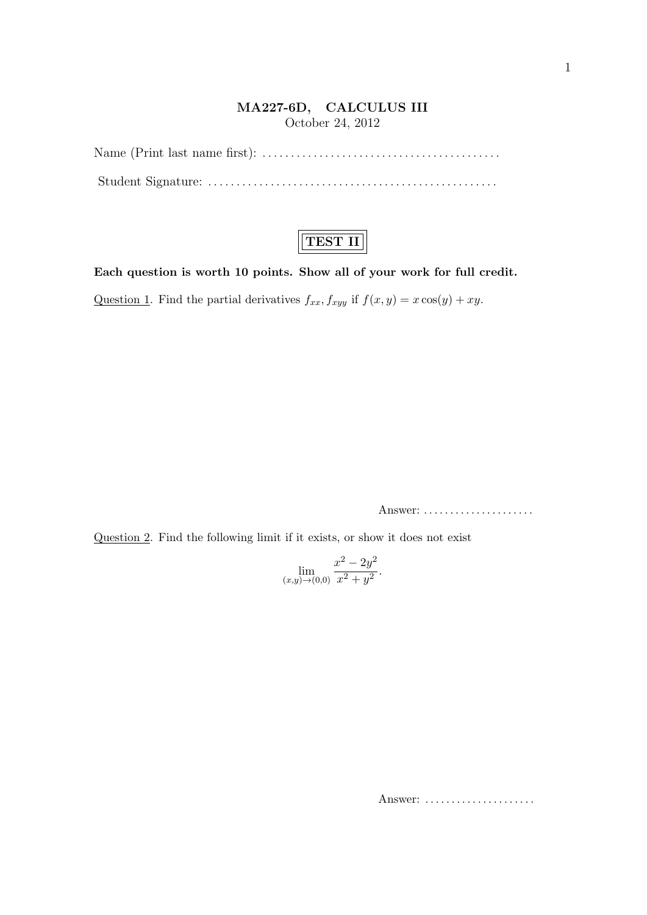## **MA227-6D, CALCULUS III** October 24, 2012

Name (Print last name first): *. . . . . . . . . . . . . . . . . . . . . . . . . . . . . . . . . . . . . . . . . .* Student Signature: *. . . . . . . . . . . . . . . . . . . . . . . . . . . . . . . . . . . . . . . . . . . . . . . . . . .*

## **TEST II**

**Each question is worth 10 points. Show all of your work for full credit.**

Question 1. Find the partial derivatives  $f_{xx}$ ,  $f_{xyy}$  if  $f(x, y) = x \cos(y) + xy$ .

Answer: *. . . . . . . . . . . . . . . . . . . . .*

Question 2. Find the following limit if it exists, or show it does not exist

$$
\lim_{(x,y)\to(0,0)}\frac{x^2 - 2y^2}{x^2 + y^2}.
$$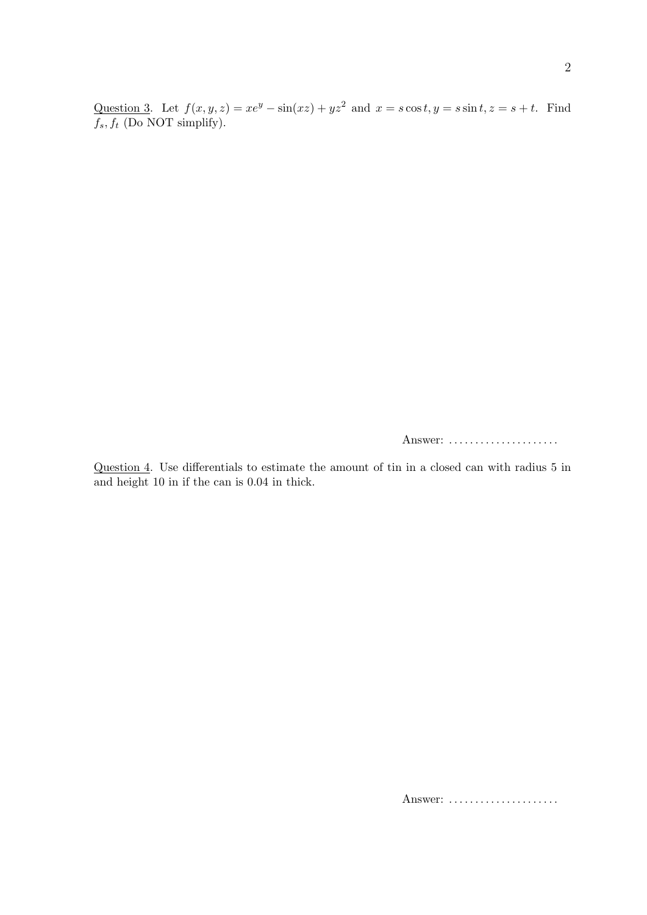Question 3. Let  $f(x, y, z) = xe^y - \sin(xz) + yz^2$  and  $x = s \cos t, y = s \sin t, z = s + t$ . Find  $\overline{f_s}, f_t$  (Do NOT simplify).

Answer: *. . . . . . . . . . . . . . . . . . . . .*

Question 4. Use differentials to estimate the amount of tin in a closed can with radius 5 in and height 10 in if the can is 0.04 in thick.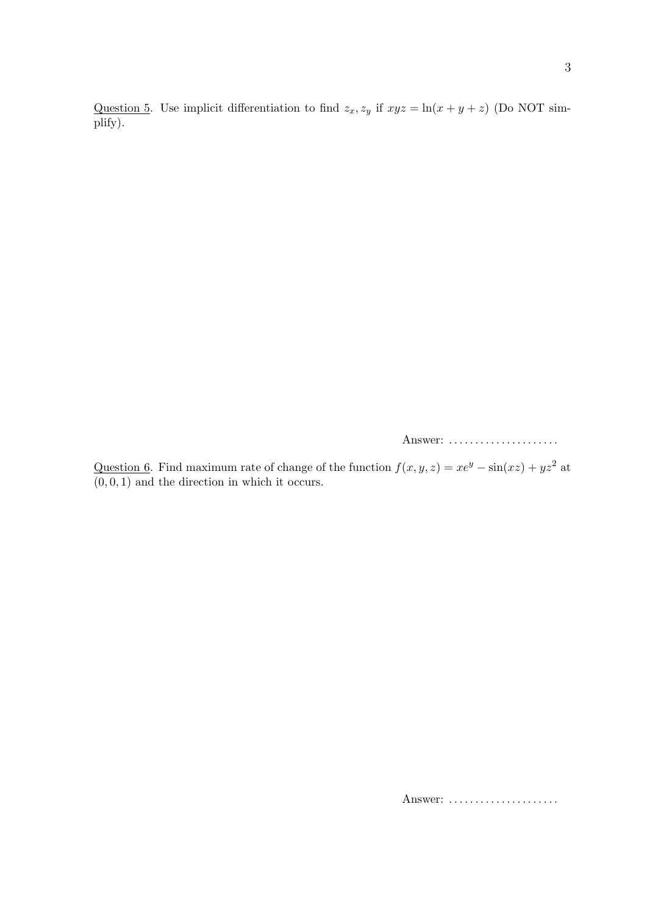Question 5. Use implicit differentiation to find  $z_x, z_y$  if  $xyz = \ln(x + y + z)$  (Do NOT simplify).

Answer: *. . . . . . . . . . . . . . . . . . . . .*

Question 6. Find maximum rate of change of the function  $f(x, y, z) = xe^y - \sin(xz) + yz^2$  at  $(0,0,1)$  and the direction in which it occurs.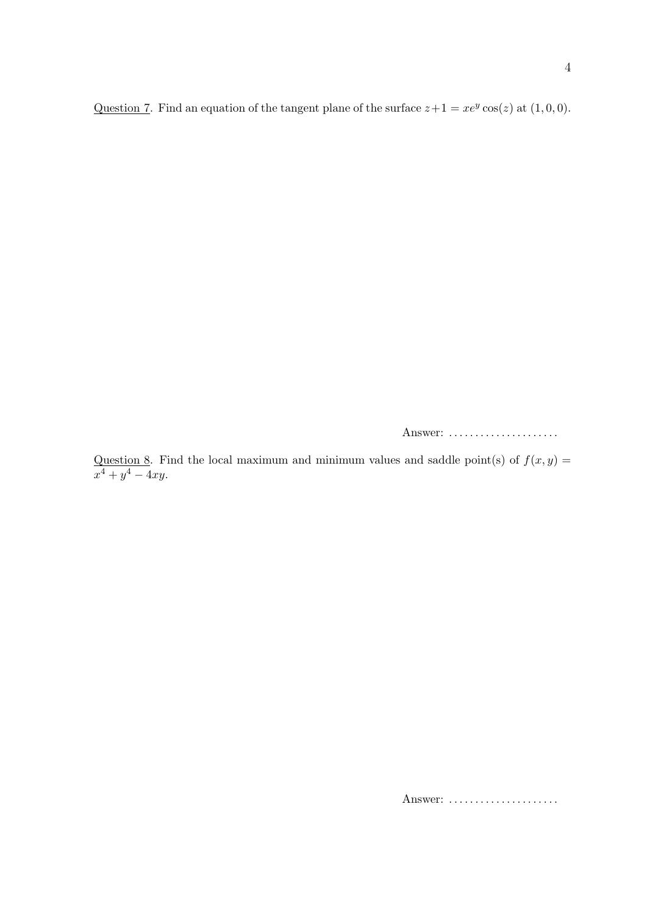Question 7. Find an equation of the tangent plane of the surface  $z+1 = xe^y \cos(z)$  at  $(1,0,0)$ .

Answer: *. . . . . . . . . . . . . . . . . . . . .*

Question 8. Find the local maximum and minimum values and saddle point(s) of  $f(x, y) =$  $x^4 + y^4 - 4xy$ .